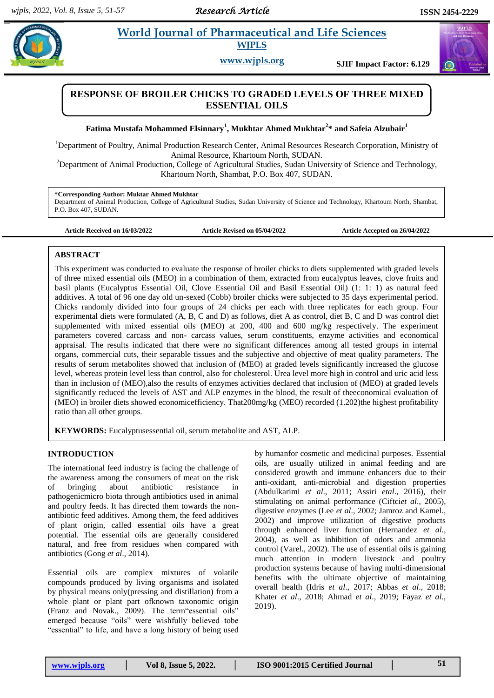# **Pathtar** *al.* **<b>Pharmaceutical and Life Sciences Pharmaceutical and Life Sciences WJPLS**

**www.wjpls.org SJIF Impact Factor: 6.129**



**Fatima Mustafa Mohammed Elsinnary<sup>1</sup> , Mukhtar Ahmed Mukhtar<sup>2</sup> \* and Safeia Alzubair<sup>1</sup>**

<sup>1</sup>Department of Poultry, Animal Production Research Center, Animal Resources Research Corporation, Ministry of Animal Resource, Khartoum North, SUDAN.

<sup>2</sup>Department of Animal Production, College of Agricultural Studies, Sudan University of Science and Technology, Khartoum North, Shambat, P.O. Box 407, SUDAN.

### **\*Corresponding Author: Muktar Ahmed Mukhtar**

Department of Animal Production, College of Agricultural Studies, Sudan University of Science and Technology, Khartoum North, Shambat, P.O. Box 407, SUDAN.

**Article Received on 16/03/2022 Article Revised on 05/04/2022 Article Accepted on 26/04/2022**

#### **ABSTRACT**

This experiment was conducted to evaluate the response of broiler chicks to diets supplemented with graded levels of three mixed essential oils (MEO) in a combination of them, extracted from eucalyptus leaves, clove fruits and basil plants (Eucalyptus Essential Oil, Clove Essential Oil and Basil Essential Oil) (1: 1: 1) as natural feed additives. A total of 96 one day old un-sexed (Cobb) broiler chicks were subjected to 35 days experimental period. Chicks randomly divided into four groups of 24 chicks per each with three replicates for each group. Four experimental diets were formulated (A, B, C and D) as follows, diet A as control, diet B, C and D was control diet supplemented with mixed essential oils (MEO) at 200, 400 and 600 mg/kg respectively. The experiment parameters covered carcass and non- carcass values, serum constituents, enzyme activities and economical appraisal. The results indicated that there were no significant differences among all tested groups in internal organs, commercial cuts, their separable tissues and the subjective and objective of meat quality parameters. The results of serum metabolites showed that inclusion of (MEO) at graded levels significantly increased the glucose level, whereas protein level less than control, also for cholesterol. Urea level more high in control and uric acid less than in inclusion of (MEO),also the results of enzymes activities declared that inclusion of (MEO) at graded levels significantly reduced the levels of AST and ALP enzymes in the blood, the result of theeconomical evaluation of (MEO) in broiler diets showed economicefficiency. That200mg/kg (MEO) recorded (1.202)the highest profitability ratio than all other groups.

**KEYWORDS:** Eucalyptusessential oil, serum metabolite and AST, ALP.

### **INTRODUCTION**

The international feed industry is facing the challenge of the awareness among the consumers of meat on the risk of bringing about antibiotic resistance in pathogenicmicro biota through antibiotics used in animal and poultry feeds. It has directed them towards the nonantibiotic feed additives. Among them, the feed additives of plant origin, called essential oils have a great potential. The essential oils are generally considered natural, and free from residues when compared with antibiotics (Gong *et al*., 2014).

Essential oils are complex mixtures of volatile compounds produced by living organisms and isolated by physical means only(pressing and distillation) from a whole plant or plant part ofknown taxonomic origin (Franz and Novak., 2009). The term"essential oils" emerged because "oils" were wishfully believed tobe "essential" to life, and have a long history of being used

by humanfor cosmetic and medicinal purposes. Essential oils, are usually utilized in animal feeding and are considered growth and immune enhancers due to their anti-oxidant, anti-microbial and digestion properties (Abdulkarimi *et al*., 2011; Assiri *etal*., 2016), their stimulating on animal performance (Ciftci*et al*., 2005), digestive enzymes (Lee *et al*., 2002; Jamroz and Kamel., 2002) and improve utilization of digestive products through enhanced liver function (Hernandez *et al.,*  2004), as well as inhibition of odors and ammonia control (Varel., 2002). The use of essential oils is gaining much attention in modern livestock and poultry production systems because of having multi-dimensional benefits with the ultimate objective of maintaining overall health (Idris *et al*., 2017; Abbas *et al*., 2018; Khater *et al*., 2018; Ahmad *et al*., 2019; Fayaz *et al*., 2019).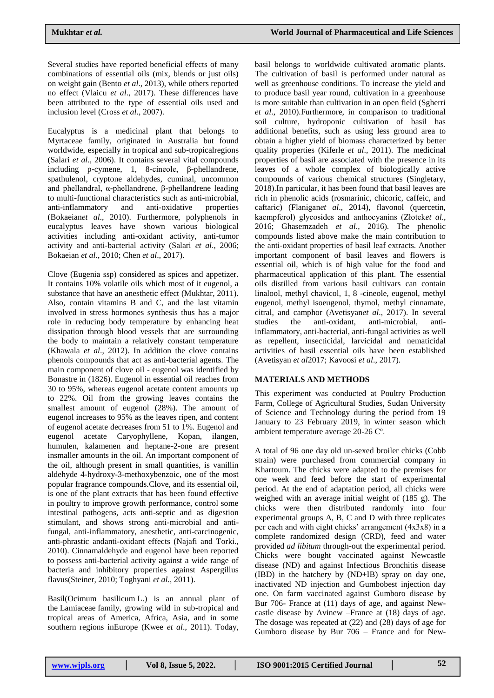Several studies have reported beneficial effects of many combinations of essential oils (mix, blends or just oils) on weight gain (Bento *et al*., 2013), while others reported no effect (Vlaicu *et al*., 2017). These differences have been attributed to the type of essential oils used and inclusion level (Cross *et al*., 2007).

Eucalyptus is a medicinal plant that belongs to Myrtaceae family, originated in Australia but found worldwide, especially in tropical and sub**-**tropicalregions (Salari *et al*., 2006). It contains several vital compounds including p-cymene, 1, 8-cineole, β-phellandrene, spathulenol, cryptone aldehydes, cuminal, uncommon and phellandral, α-phellandrene, β-phellandrene leading to multi-functional characteristics such as anti-microbial, anti-inflammatory and anti-oxidative properties (Bokaeian*et al*., 2010). Furthermore, polyphenols in eucalyptus leaves have shown various biological activities including anti-oxidant activity, anti-tumor activity and anti-bacterial activity (Salari *et al*., 2006; Bokaeian *et al*., 2010; Chen *et al*., 2017).

Clove (Eugenia ssp) considered as spices and appetizer. It contains 10% volatile oils which most of it eugenol, a substance that have an anesthetic effect (Mukhtar, 2011). Also, contain vitamins B and C, and the last vitamin involved in stress hormones synthesis thus has a major role in reducing body temperature by enhancing heat dissipation through blood vessels that are surrounding the body to maintain a relatively constant temperature (Khawala *et al*., 2012). In addition the clove contains phenols compounds that act as anti-bacterial agents. The main component of clove oil - eugenol was identified by Bonastre in (1826). Eugenol in essential oil reaches from 30 to 95%, whereas eugenol acetate content amounts up to 22%. Oil from the growing leaves contains the smallest amount of eugenol (28%). The amount of eugenol increases to 95% as the leaves ripen, and content of eugenol acetate decreases from 51 to 1%. Eugenol and eugenol acetate Caryophyllene, Kopan, ilangen, humulen, kalamenen and heptane-2-one are present insmaller amounts in the oil. An important component of the oil, although present in small quantities, is vanillin aldehyde 4-hydroxy-3-methoxybenzoic, one of the most popular fragrance compounds.Clove, and its essential oil, is one of the plant extracts that has been found effective in poultry to improve growth performance, control some intestinal pathogens, acts anti-septic and as digestion stimulant, and shows strong anti-microbial and antifungal, anti-inflammatory, anesthetic, anti-carcinogenic, anti-phrastic andanti-oxidant effects (Najafi and Torki., 2010). Cinnamaldehyde and eugenol have been reported to possess anti-bacterial activity against a wide range of bacteria and inhibitory properties against Aspergillus flavus(Steiner, 2010; Toghyani *et al.*, 2011).

Basil(Ocimum basilicum L.) is an annual plant of the Lamiaceae family, growing wild in sub**-**tropical and tropical areas of America, Africa, Asia, and in some southern regions inEurope (Kwee *et al*., 2011). Today,

basil belongs to worldwide cultivated aromatic plants. The cultivation of basil is performed under natural as well as greenhouse conditions. To increase the yield and to produce basil year round, cultivation in a greenhouse is more suitable than cultivation in an open field (Sgherri *et al*., 2010).Furthermore, in comparison to traditional soil culture, hydroponic cultivation of basil has additional benefits, such as using less ground area to obtain a higher yield of biomass characterized by better quality properties (Kiferle *et al*., 2011). The medicinal properties of basil are associated with the presence in its leaves of a whole complex of biologically active compounds of various chemical structures (Singletary, 2018).In particular, it has been found that basil leaves are rich in phenolic acids (rosmarinic, chicoric, caffeic, and caftaric) (Flanigan*et al*., 2014), flavonol (quercetin, kaempferol) glycosides and anthocyanins (Złotek*et al*., 2016; Ghasemzadeh *et al*., 2016). The phenolic compounds listed above make the main contribution to the anti-oxidant properties of basil leaf extracts. Another important component of basil leaves and flowers is essential oil, which is of high value for the food and pharmaceutical application of this plant. The essential oils distilled from various basil cultivars can contain linalool, methyl chavicol, 1, 8 -cineole, eugenol, methyl eugenol, methyl isoeugenol, thymol, methyl cinnamate, citral, and camphor (Avetisyan*et al*., 2017). In several studies the anti-oxidant, anti-microbial, antiinflammatory, anti-bacterial, anti-fungal activities as well as repellent, insecticidal, larvicidal and nematicidal activities of basil essential oils have been established (Avetisyan *et al*2017; Kavoosi *et al*., 2017).

## **MATERIALS AND METHODS**

This experiment was conducted at Poultry Production Farm, College of Agricultural Studies, Sudan University of Science and Technology during the period from 19 January to 23 February 2019, in winter season which ambient temperature average 20-26 Cº.

A total of 96 one day old un-sexed broiler chicks (Cobb strain) were purchased from commercial company in Khartoum. The chicks were adapted to the premises for one week and feed before the start of experimental period. At the end of adaptation period, all chicks were weighed with an average initial weight of (185 g). The chicks were then distributed randomly into four experimental groups A, B, C and D with three replicates per each and with eight chicks' arrangement (4x3x8) in a complete randomized design (CRD), feed and water provided *ad libitum* through-out the experimental period. Chicks were bought vaccinated against Newcastle disease (ND) and against Infectious Bronchitis disease (IBD) in the hatchery by (ND+IB) spray on day one, inactivated ND injection and Gumbobest injection day one. On farm vaccinated against Gumboro disease by Bur 706- France at (11) days of age, and against Newcastle disease by Avinew –France at (18) days of age. The dosage was repeated at (22) and (28) days of age for Gumboro disease by Bur 706 – France and for New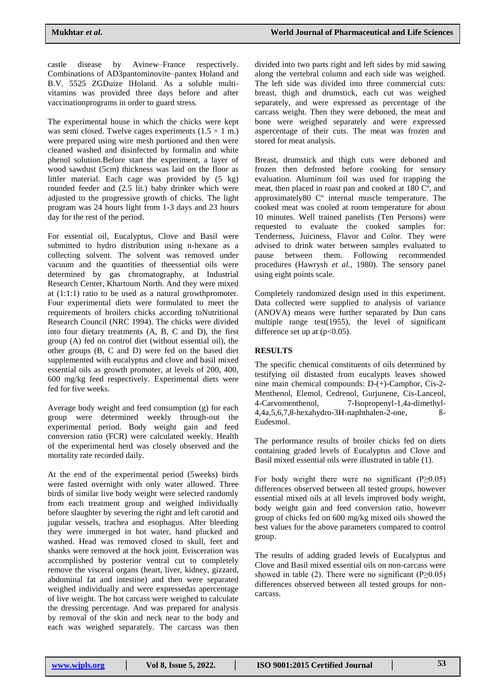castle disease by Avinew–France respectively. Combinations of AD3pantominovite–pantex Holand and B.V. 5525 ZGDuize lHoland. As a soluble multivitamins was provided three days before and after vaccinationprograms in order to guard stress.

The experimental house in which the chicks were kept was semi closed. Twelve cages experiments  $(1.5 \times 1$  m.) were prepared using wire mesh portioned and then were cleaned washed and disinfected by formalin and white phenol solution.Before start the experiment, a layer of wood sawdust (5cm) thickness was laid on the floor as littler material. Each cage was provided by (5 kg) rounded feeder and (2.5 lit.) baby drinker which were adjusted to the progressive growth of chicks. The light program was 24 hours light from 1**-**3 days and 23 hours day for the rest of the period.

For essential oil, Eucalyptus, Clove and Basil were submitted to hydro distribution using n-hexane as a collecting solvent. The solvent was removed under vacuum and the quantities of theessential oils were determined by gas chromatography, at Industrial Research Center, Khartoum North. And they were mixed at (1:1:1) ratio to be used as a natural growthpromoter. Four experimental diets were formulated to meet the requirements of broilers chicks according toNutritional Research Council (NRC 1994). The chicks were divided into four dietary treatments (A, B, C and D), the first group (A) fed on control diet (without essential oil), the other groups (B, C and D) were fed on the based diet supplemented with eucalyptus and clove and basil mixed essential oils as growth promoter, at levels of 200, 400, 600 mg/kg feed respectively. Experimental diets were fed for five weeks.

Average body weight and feed consumption (g) for each group were determined weekly through-out the experimental period. Body weight gain and feed conversion ratio (FCR) were calculated weekly. Health of the experimental herd was closely observed and the mortality rate recorded daily.

At the end of the experimental period (5weeks) birds were fasted overnight with only water allowed. Three birds of similar live body weight were selected randomly from each treatment group and weighed individually before slaughter by severing the right and left carotid and jugular vessels, trachea and esophagus. After bleeding they were immerged in hot water, hand plucked and washed. Head was removed closed to skull, feet and shanks were removed at the hock joint. Evisceration was accomplished by posterior ventral cut to completely remove the visceral organs (heart, liver, kidney, gizzard, abdominal fat and intestine) and then were separated weighed individually and were expressedas apercentage of live weight. The hot carcass were weighed to calculate the dressing percentage. And was prepared for analysis by removal of the skin and neck near to the body and each was weighed separately. The carcass was then divided into two parts right and left sides by mid sawing along the vertebral column and each side was weighed. The left side was divided into three commercial cuts: breast, thigh and drumstick, each cut was weighed separately, and were expressed as percentage of the carcass weight. Then they were deboned, the meat and bone were weighed separately and were expressed aspercentage of their cuts. The meat was frozen and stored for meat analysis.

Breast, drumstick and thigh cuts were deboned and frozen then defrosted before cooking for sensory evaluation. Aluminum foil was used for trapping the meat, then placed in roast pan and cooked at 180 Cº, and approximately80 Cº internal muscle temperature. The cooked meat was cooled at room temperature for about 10 minutes. Well trained panelists (Ten Persons) were requested to evaluate the cooked samples for: Tenderness, Juiciness, Flavor and Color. They were advised to drink water between samples evaluated to pause between them. Following recommended procedures (Hawrysh *et al.,* 1980). The sensory panel using eight points scale.

Completely randomized design used in this experiment. Data collected were supplied to analysis of variance (ANOVA) means were further separated by Dun cans multiple range test(1955), the level of significant difference set up at  $(p<0.05)$ .

### **RESULTS**

The specific chemical constituents of oils determined by testifying oil distasted from eucalypts leaves showed nine main chemical compounds: D-(+)-Camphor, Cis-2- Menthenol, Elemol, Cedrenol, Gurjunene, Cis-Lanceol, 4-Carvomenthenol, 7-Isopropenyl-1,4a-dimethyl-4,4a,5,6,7,8-hexahydro-3H-naphthalen-2-one, ß-Eudesmol.

The performance results of broiler chicks fed on diets containing graded levels of Eucalyptus and Clove and Basil mixed essential oils were illustrated in table (1).

For body weight there were no significant (P $\geq$ 0.05) differences observed between all tested groups, however essential mixed oils at all levels improved body weight, body weight gain and feed conversion ratio, however group of chicks fed on 600 mg/kg mixed oils showed the best values for the above parameters compared to control group.

The results of adding graded levels of Eucalyptus and Clove and Basil mixed essential oils on non-carcass were showed in table (2). There were no significant (P≥0.05) differences observed between all tested groups for noncarcass.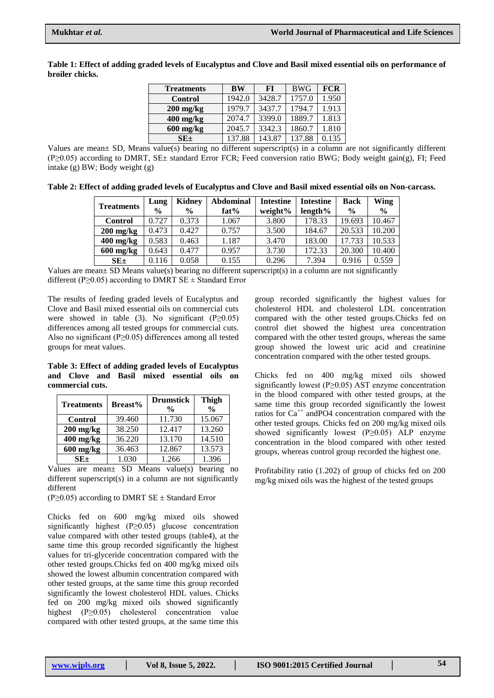| <b>Treatments</b>   | BW     | <b>FI</b> | <b>BWG</b> | <b>FCR</b> |
|---------------------|--------|-----------|------------|------------|
| <b>Control</b>      | 1942.0 | 3428.7    | 1757.0     | 1.950      |
| $200$ mg/kg         | 1979.7 | 3437.7    | 1794.7     | 1.913      |
| $400 \text{ mg/kg}$ | 2074.7 | 3399.0    | 1889.7     | 1.813      |
| $600$ mg/kg         | 2045.7 | 3342.3    | 1860.7     | 1.810      |
| $SE_{\pm}$          | 137.88 | 143.87    | 137.88     | 0.135      |

**Table 1: Effect of adding graded levels of Eucalyptus and Clove and Basil mixed essential oils on performance of broiler chicks.**

Values are mean± SD, Means value(s) bearing no different superscript(s) in a column are not significantly different (P≥0.05) according to DMRT, SE± standard Error FCR; Feed conversion ratio BWG; Body weight gain(g), FI; Feed intake (g) BW; Body weight (g)

**Table 2: Effect of adding graded levels of Eucalyptus and Clove and Basil mixed essential oils on Non-carcass.**

| <b>Treatments</b> | <b>Kidney</b><br>Lung |               | Abdominal | <b>Intestine</b> | <b>Intestine</b> | <b>Back</b>   | Wing          |  |
|-------------------|-----------------------|---------------|-----------|------------------|------------------|---------------|---------------|--|
|                   | $\frac{6}{9}$         | $\frac{0}{0}$ | fat%      | weight%          | $length\%$       | $\frac{6}{9}$ | $\frac{6}{9}$ |  |
| <b>Control</b>    | 0.727                 | 0.373         | 1.067     | 3.800            | 178.33           | 19.693        | 10.467        |  |
| $200$ mg/kg       | 0.473                 | 0.427         | 0.757     | 3.500            | 184.67           | 20.533        | 10.200        |  |
| $400$ mg/kg       | 0.583                 | 0.463         | 1.187     | 3.470            | 183.00           | 17.733        | 10.533        |  |
| $600$ mg/kg       | 0.643                 | 0.477         | 0.957     | 3.730            | 172.33           | 20.300        | 10.400        |  |
| $SE \pm$          | 0.116                 | 0.058         | 0.155     | 0.296            | 7.394            | 0.916         | 0.559         |  |

Values are mean± SD Means value(s) bearing no different superscript(s) in a column are not significantly different (P≥0.05) according to DMRT SE  $\pm$  Standard Error

The results of feeding graded levels of Eucalyptus and Clove and Basil mixed essential oils on commercial cuts were showed in table (3). No significant  $(P \ge 0.05)$ differences among all tested groups for commercial cuts. Also no significant (P≥0.05) differences among all tested groups for meat values.

**Table 3: Effect of adding graded levels of Eucalyptus and Clove and Basil mixed essential oils on commercial cuts.**

| <b>Treatments</b>   | <b>Breast%</b> | <b>Drumstick</b><br>$\frac{0}{0}$ | <b>Thigh</b><br>$\frac{0}{0}$ |  |  |
|---------------------|----------------|-----------------------------------|-------------------------------|--|--|
| <b>Control</b>      | 39.460         | 11.730                            | 15.067                        |  |  |
| $200 \text{ mg/kg}$ | 38.250         | 12.417                            | 13.260                        |  |  |
| $400$ mg/kg         | 36.220         | 13.170                            | 14.510                        |  |  |
| $600 \text{ mg/kg}$ | 36.463         | 12.867                            | 13.573                        |  |  |
| SE+                 | 1.030          | 1.266                             | 1.396                         |  |  |

Values are mean± SD Means value(s) bearing no different superscript(s) in a column are not significantly different

 $(P \ge 0.05)$  according to DMRT SE  $\pm$  Standard Error

Chicks fed on 600 mg/kg mixed oils showed significantly highest (P≥0.05) glucose concentration value compared with other tested groups (table4), at the same time this group recorded significantly the highest values for tri-glyceride concentration compared with the other tested groups.Chicks fed on 400 mg/kg mixed oils showed the lowest albumin concentration compared with other tested groups, at the same time this group recorded significantly the lowest cholesterol HDL values. Chicks fed on 200 mg/kg mixed oils showed significantly highest (P≥0.05) cholesterol concentration value compared with other tested groups, at the same time this

group recorded significantly the highest values for cholesterol HDL and cholesterol LDL concentration compared with the other tested groups.Chicks fed on control diet showed the highest urea concentration compared with the other tested groups, whereas the same group showed the lowest uric acid and creatinine concentration compared with the other tested groups.

Chicks fed on 400 mg/kg mixed oils showed significantly lowest (P≥0.05) AST enzyme concentration in the blood compared with other tested groups, at the same time this group recorded significantly the lowest ratios for  $Ca^{++}$  and PO4 concentration compared with the other tested groups. Chicks fed on 200 mg/kg mixed oils showed significantly lowest  $(P \ge 0.05)$  ALP enzyme concentration in the blood compared with other tested groups, whereas control group recorded the highest one.

Profitability ratio (1.202) of group of chicks fed on 200 mg/kg mixed oils was the highest of the tested groups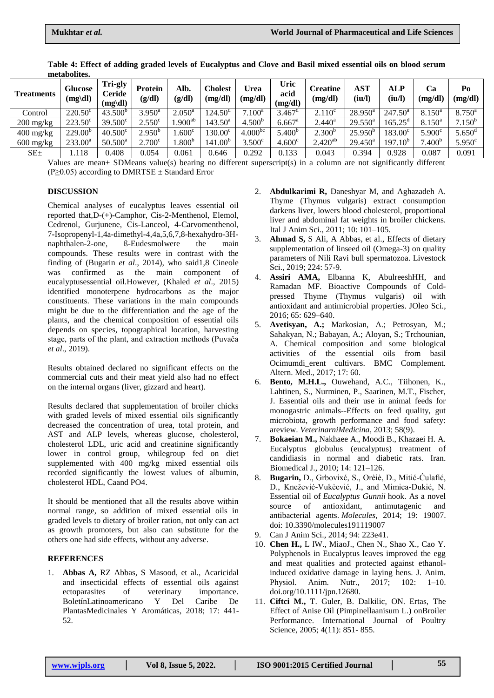| <b>Treatments</b>                 | <b>Glucose</b><br>$(mg\ddot{\text{dl}})$ | Tri-gly<br>Ceride<br>$(mg\$ dl) | <b>Protein</b><br>(g/dl) | Alb.<br>(g/dl)     | Cholest<br>(mg/dl)  | Urea<br>(mg/dl)     | Uric<br>acid<br>(mg/dl) | <b>Creatine</b><br>(mg/dl) | <b>AST</b><br>(iu/l) | <b>ALP</b><br>(iu/l)    | Ca<br>(mg/dl)      | Po<br>(mg/dl)        |
|-----------------------------------|------------------------------------------|---------------------------------|--------------------------|--------------------|---------------------|---------------------|-------------------------|----------------------------|----------------------|-------------------------|--------------------|----------------------|
| Control                           | $220.50^{\circ}$                         | $43.500^b$                      | $3.950^{\rm a}$          | $2.050^{\text{a}}$ | 124.50 <sup>d</sup> | $7.100^a$           | $3.467^{\circ}$         | $2.110^{\circ}$            | $28.950^a$           | $247.50^{\circ}$        | $8.150^{\circ}$    | $8.750^{\circ}$      |
| $200 \frac{\text{mg}}{\text{kg}}$ | $223.50^{\circ}$                         | $39.500^{\circ}$                | $2.550^{\circ}$          | $.900^{ab}$        | $143.50^{\rm a}$    | $4.500^{b}$         | $6.667$ <sup>a</sup>    | $2.440^a$                  | $29.550^{\rm a}$     | $165.25^{\circ}$        | $8.150^{\circ}$    | $7.150^{b}$          |
| $400 \frac{\text{mg}}{\text{kg}}$ | $229.00^{b}$                             | $40.500^{\circ}$                | $2.950^{b}$              | .600 <sup>c</sup>  | $130.00^{\circ}$    | 4.000 <sup>bc</sup> | $5.400^b$               | 2.300 <sup>b</sup>         | $25.950^{b}$         | $183.00^{\circ}$        | $5.900^{\circ}$    | $5.650$ <sup>d</sup> |
| $600 \text{ mg/kg}$               | $233.00^a$                               | $50.500^a$                      | $2.700^{\circ}$          | .800 <sup>b</sup>  | 141.00 <sup>b</sup> | 3.500 <sup>c</sup>  | 4.600 <sup>c</sup>      | $2.420^{ab}$               | $29.450^a$           | 197<br>.10 <sup>b</sup> | 7.400 <sup>b</sup> | $5.950^{\circ}$      |
| $SE_{\pm}$                        | .118                                     | 0.408                           | 0.054                    | 0.061              | 0.646               | 0.292               | 0.133                   | 0.043                      | 0.394                | 0.928                   | 0.087              | 0.091                |

**Table 4: Effect of adding graded levels of Eucalyptus and Clove and Basil mixed essential oils on blood serum metabolites.**

Values are mean± SDMeans value(s) bearing no different superscript(s) in a column are not significantly different  $(P>0.05)$  according to DMRTSE  $\pm$  Standard Error

#### **DISCUSSION**

Chemical analyses of eucalyptus leaves essential oil reported that,D**-**(+)**-**Camphor, Cis-2**-**Menthenol, Elemol, Cedrenol, Gurjunene, Cis-Lanceol, 4**-**Carvomenthenol, 7**-**Isopropenyl-1,4a-dimethyl-4,4a,5,6,7,8-hexahydro-3Hnaphthalen-2-one, ß-Eudesmolwere the main compounds. These results were in contrast with the finding of [\(Bugarin](https://www.frontiersin.org/articles/10.3389/fmicb.2020.00409/full#B10) *et al*., 2014), who said1,8 Cineole was confirmed as the main component of eucalyptusessential oil.However, (Khaled *et al*., 2015) identified monoterpene hydrocarbons as the major constituents. These variations in the main compounds might be due to the differentiation and the age of the plants, and the chemical composition of essential oils depends on species, topographical location, harvesting stage, parts of the plant, and extraction methods (Puvaĉa *et al*., 2019).

Results obtained declared no significant effects on the commercial cuts and their meat yield also had no effect on the internal organs (liver, gizzard and heart).

Results declared that supplementation of broiler chicks with graded levels of mixed essential oils significantly decreased the concentration of urea, total protein, and AST and ALP levels, whereas glucose, cholesterol, cholesterol LDL, uric acid and creatinine significantly lower in control group, whilegroup fed on diet supplemented with 400 mg/kg mixed essential oils recorded significantly the lowest values of albumin, cholesterol HDL, Caand PO4.

It should be mentioned that all the results above within normal range, so addition of mixed essential oils in graded levels to dietary of broiler ration, not only can act as growth promoters, but also can substitute for the others one had side effects, without any adverse.

### **REFERENCES**

1. **Abbas A,** RZ Abbas, S Masood, et al., Acaricidal and insecticidal effects of essential oils against ectoparasites of veterinary importance. BoletínLatinoamericano Y Del Caribe De PlantasMedicinales Y Aromáticas, 2018; 17: 441- 52.

- 2. **Abdulkarimi R,** Daneshyar M, and Aghazadeh A. Thyme (Thymus vulgaris) extract consumption darkens liver, lowers blood cholesterol, proportional liver and abdominal fat weights in broiler chickens. Ital J Anim Sci., 2011; 10: 101–105.
- 3. **Ahmad S,** S Ali, A Abbas, et al., Effects of dietary supplementation of linseed oil (Omega-3) on quality parameters of Nili Ravi bull spermatozoa. Livestock Sci., 2019; 224: 57-9.
- 4. **Assiri AMA,** Elbanna K, AbulreeshHH, and Ramadan MF. Bioactive Compounds of Coldpressed Thyme (Thymus vulgaris) oil with antioxidant and antimicrobial properties. JOleo Sci., 2016; 65: 629–640.
- 5. **Avetisyan, A.;** Markosian, A.; Petrosyan, M.; Sahakyan, N.; Babayan, A.; Aloyan, S.; Trchounian, A. Chemical composition and some biological activities of the essential oils from basil Ocimumdi\_erent cultivars. BMC Complement. Altern. Med., 2017; 17: 60.
- 6. **Bento, M.H.L.,** Ouwehand, A.C., Tiihonen, K., Lahtinen, S., Nurminen, P., Saarinen, M.T., Fischer, J. Essential oils and their use in animal feeds for monogastric animals--Effects on feed quality, gut microbiota, growth performance and food safety: areview. *VeterinarniMedicina*, 2013; 58(9).
- 7. **Bokaeian M.,** Nakhaee A., Moodi B., Khazaei H. A. Eucalyptus globulus (eucalyptus) treatment of candidiasis in normal and diabetic rats. Iran. Biomedical J., 2010; 14: 121–126.
- 8. **Bugarin,** D., Grbovixć, S., Orèiè, D., Mitić-Ćulafić, D., Knežević-Vukèević, J., and Mimica-Dukić, N. Essential oil of *Eucalyptus Gunnii* hook. As a novel source of antioxidant, antimutagenic and antibacterial agents. *Molecules,* 2014; 19: 19007. doi: 10.3390/molecules191119007
- 9. Can J Anim Sci., 2014; 94: 223e41.
- 10. **Chen H.,** L lW., MiaoJ., Chen N., Shao X., Cao Y. Polyphenols in Eucalyptus leaves improved the egg and meat qualities and protected against ethanolinduced oxidative damage in laying hens. J. Anim. Physiol. Anim. Nutr., 2017; 102: 1–10. doi.org/10.1111/jpn.12680.
- 11. **Ciftci M.,** T. Guler, B. Dalkilic, ON. Ertas, The Effect of Anise Oil (Pimpinellaanisum L.) onBroiler Performance. International Journal of Poultry Science, 2005; 4(11): 851- 855.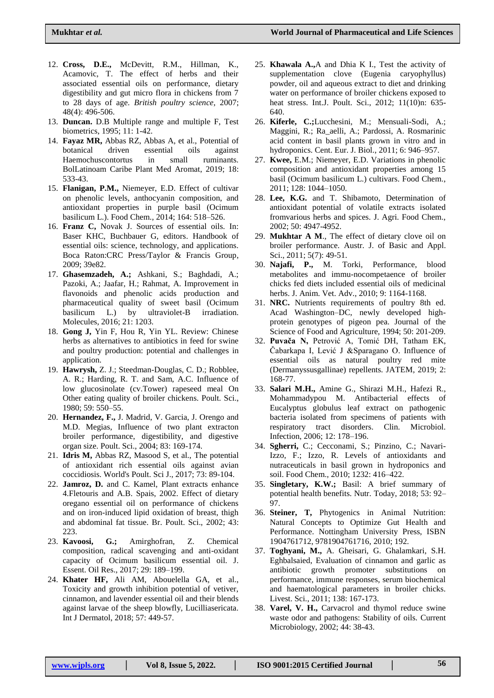- 12. **Cross, D.E.,** McDevitt, R.M., Hillman, K., Acamovic, T. The effect of herbs and their associated essential oils on performance, dietary digestibility and gut micro flora in chickens from 7 to 28 days of age. *British poultry science*, 2007; 48(4): 496-506.
- 13. **Duncan.** D.B Multiple range and multiple F, Test biometrics, 1995; 11: 1-42.
- 14. **Fayaz MR,** Abbas RZ, Abbas A, et al., Potential of botanical driven essential oils against Haemochuscontortus in small ruminants. BolLatinoam Caribe Plant Med Aromat, 2019; 18: 533-43.
- 15. **Flanigan, P.M.,** Niemeyer, E.D. Effect of cultivar on phenolic levels, anthocyanin composition, and antioxidant properties in purple basil (Ocimum basilicum L.). Food Chem., 2014; 164: 518–526.
- 16. **Franz C,** Novak J. Sources of essential oils. In: Baser KHC, Buchbauer G, editors. Handbook of essential oils: science, technology, and applications. Boca Raton:CRC Press/Taylor & Francis Group, 2009; 39e82.
- 17. **Ghasemzadeh, A.;** Ashkani, S.; Baghdadi, A.; Pazoki, A.; Jaafar, H.; Rahmat, A. Improvement in flavonoids and phenolic acids production and pharmaceutical quality of sweet basil (Ocimum basilicum L.) by ultraviolet-B irradiation. Molecules, 2016; 21: 1203.
- 18. **Gong J,** Yin F, Hou R, Yin YL. Review: Chinese herbs as alternatives to antibiotics in feed for swine and poultry production: potential and challenges in application.
- 19. **Hawrysh,** Z. J.; Steedman-Douglas, C. D.; Robblee, A. R.; Harding, R. T. and Sam, A.C. Influence of low glucosinolate (cv.Tower) rapeseed meal On Other eating quality of broiler chickens. Poult. Sci., 1980; 59: 550–55.
- 20. **Hernandez, F.,** J. Madrid, V. Garcia, J. Orengo and M.D. Megias, Influence of two plant extracton broiler performance, digestibility, and digestive organ size. Poult. Sci., 2004; 83: 169-174.
- 21. **Idris M,** Abbas RZ, Masood S, et al., The potential of antioxidant rich essential oils against avian coccidiosis. World's Poult. Sci J., 2017; 73: 89-104.
- 22. **Jamroz, D.** and C. Kamel, Plant extracts enhance 4.Fletouris and A.B. Spais, 2002. Effect of dietary oregano essential oil on performance of chickens and on iron-induced lipid oxidation of breast, thigh and abdominal fat tissue. Br. Poult. Sci., 2002; 43: 223.
- 23. **Kavoosi, G.;** Amirghofran, Z. Chemical composition, radical scavenging and anti-oxidant capacity of Ocimum basilicum essential oil. J. Essent. Oil Res., 2017; 29: 189–199.
- 24. **Khater HF,** Ali AM, Abouelella GA, et al., Toxicity and growth inhibition potential of vetiver, cinnamon, and lavender essential oil and their blends against larvae of the sheep blowfly, Lucilliasericata. Int J Dermatol, 2018; 57: 449-57.
- 25. **Khawala A.,**A and Dhia K I., Test the activity of supplementation clove (Eugenia caryophyllus) powder, oil and aqueous extract to diet and drinking water on performance of broiler chickens exposed to heat stress. Int.J. Poult. Sci., 2012; 11(10)n: 635- 640.
- 26. **Kiferle, C.;**Lucchesini, M.; Mensuali-Sodi, A.; Maggini, R.; Ra\_aelli, A.; Pardossi, A. Rosmarinic acid content in basil plants grown in vitro and in hydroponics. Cent. Eur. J. Biol., 2011; 6: 946–957.
- 27. **Kwee,** E.M.; Niemeyer, E.D. Variations in phenolic composition and antioxidant properties among 15 basil (Ocimum basilicum L.) cultivars. Food Chem., 2011; 128: 1044–1050.
- 28. **Lee, K.G.** and T. Shibamoto, Determination of antioxidant potential of volatile extracts isolated fromvarious herbs and spices. J. Agri. Food Chem., 2002; 50: 4947-4952.
- 29. **Mukhtar A M**., The effect of dietary clove oil on broiler performance. Austr. J. of Basic and Appl. Sci., 2011; 5(7): 49-51.
- 30. **Najafi, P.,** M. Torki, Performance, blood metabolites and immu-nocompetaence of broiler chicks fed diets included essential oils of medicinal herbs. J. Anim. Vet. Adv., 2010; 9: 1164-1168.
- 31. **NRC.** Nutrients requirements of poultry 8th ed. Acad Washington–DC, newly developed highprotein genotypes of pigeon pea. Journal of the Science of Food and Agriculture, 1994; 50: 201-209.
- 32. **Puvača N,** Petrović A, Tomić DH, Tatham EK, Ĉabarkapa I, Lević J &Sparagano O. Influence of essential oils as natural poultry red mite (Dermanyssusgallinae) repellents. JATEM, 2019; 2: 168-77.
- 33. **Salari M.H.,** Amine G., Shirazi M.H., Hafezi R., Mohammadypou M. Antibacterial effects of Eucalyptus globulus leaf extract on pathogenic bacteria isolated from specimens of patients with respiratory tract disorders. Clin. Microbiol. Infection, 2006; 12: 178–196.
- 34. **Sgherri,** C.; Cecconami, S.; Pinzino, C.; Navari-Izzo, F.; Izzo, R. Levels of antioxidants and nutraceuticals in basil grown in hydroponics and soil. Food Chem., 2010; 1232: 416–422.
- 35. **Singletary, K.W.;** Basil: A brief summary of potential health benefits. Nutr. Today, 2018; 53: 92– 97.
- 36. **Steiner, T,** Phytogenics in Animal Nutrition: Natural Concepts to Optimize Gut Health and Performance. Nottingham University Press, ISBN 1904761712, 9781904761716, 2010; 192.
- 37. **Toghyani, M.,** A. Gheisari, G. Ghalamkari, S.H. Eghbalsaied, Evaluation of cinnamon and garlic as antibiotic growth promoter substitutions on performance, immune responses, serum biochemical and haematological parameters in broiler chicks. Livest. Sci., 2011; 138: 167-173.
- 38. **Varel, V. H.,** Carvacrol and thymol reduce swine waste odor and pathogens: Stability of oils. Current Microbiology, 2002; 44: 38-43.